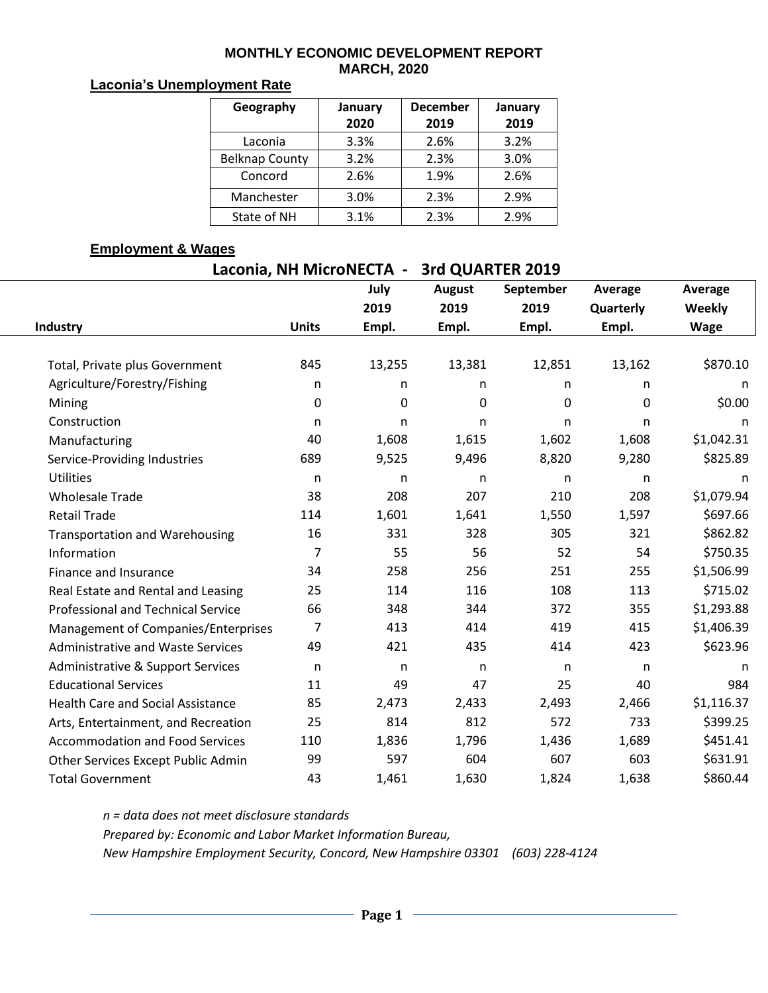#### **MONTHLY ECONOMIC DEVELOPMENT REPORT MARCH, 2020**

### **Laconia's Unemployment Rate**

| Geography             | January<br>2020 | <b>December</b><br>2019 | January<br>2019 |
|-----------------------|-----------------|-------------------------|-----------------|
| Laconia               | 3.3%            | 2.6%                    | 3.2%            |
| <b>Belknap County</b> | 3.2%            | 2.3%                    | 3.0%            |
| Concord               | 2.6%            | 1.9%                    | 2.6%            |
| Manchester            | 3.0%            | 2.3%                    | 2.9%            |
| State of NH           | 3.1%            | 2.3%                    | 2.9%            |

### **Employment & Wages**

| Laconia, NH MicroNECTA -<br>3rd QUARTER 2019 |              |        |               |           |           |             |  |  |  |  |
|----------------------------------------------|--------------|--------|---------------|-----------|-----------|-------------|--|--|--|--|
|                                              |              | July   | <b>August</b> | September | Average   | Average     |  |  |  |  |
|                                              |              | 2019   | 2019          | 2019      | Quarterly | Weekly      |  |  |  |  |
| Industry                                     | <b>Units</b> | Empl.  | Empl.         | Empl.     | Empl.     | <b>Wage</b> |  |  |  |  |
|                                              |              |        |               |           |           |             |  |  |  |  |
| Total, Private plus Government               | 845          | 13,255 | 13,381        | 12,851    | 13,162    | \$870.10    |  |  |  |  |
| Agriculture/Forestry/Fishing                 | n            | n.     | n.            | n         | n         | n           |  |  |  |  |
| Mining                                       | 0            | 0      | 0             | 0         | 0         | \$0.00      |  |  |  |  |
| Construction                                 | n            | n.     | n.            | n         | n         | n           |  |  |  |  |
| Manufacturing                                | 40           | 1,608  | 1,615         | 1,602     | 1,608     | \$1,042.31  |  |  |  |  |
| Service-Providing Industries                 | 689          | 9,525  | 9,496         | 8,820     | 9,280     | \$825.89    |  |  |  |  |
| <b>Utilities</b>                             | n            | n      | n             | n         | n         | n           |  |  |  |  |
| <b>Wholesale Trade</b>                       | 38           | 208    | 207           | 210       | 208       | \$1,079.94  |  |  |  |  |
| <b>Retail Trade</b>                          | 114          | 1,601  | 1,641         | 1,550     | 1,597     | \$697.66    |  |  |  |  |
| <b>Transportation and Warehousing</b>        | 16           | 331    | 328           | 305       | 321       | \$862.82    |  |  |  |  |
| Information                                  | 7            | 55     | 56            | 52        | 54        | \$750.35    |  |  |  |  |
| Finance and Insurance                        | 34           | 258    | 256           | 251       | 255       | \$1,506.99  |  |  |  |  |
| Real Estate and Rental and Leasing           | 25           | 114    | 116           | 108       | 113       | \$715.02    |  |  |  |  |
| Professional and Technical Service           | 66           | 348    | 344           | 372       | 355       | \$1,293.88  |  |  |  |  |
| Management of Companies/Enterprises          | 7            | 413    | 414           | 419       | 415       | \$1,406.39  |  |  |  |  |
| <b>Administrative and Waste Services</b>     | 49           | 421    | 435           | 414       | 423       | \$623.96    |  |  |  |  |
| Administrative & Support Services            | $\mathsf{n}$ | n      | $\mathsf{n}$  | n         | n         | n           |  |  |  |  |
| <b>Educational Services</b>                  | 11           | 49     | 47            | 25        | 40        | 984         |  |  |  |  |
| <b>Health Care and Social Assistance</b>     | 85           | 2,473  | 2,433         | 2,493     | 2,466     | \$1,116.37  |  |  |  |  |
| Arts, Entertainment, and Recreation          | 25           | 814    | 812           | 572       | 733       | \$399.25    |  |  |  |  |
| <b>Accommodation and Food Services</b>       | 110          | 1,836  | 1,796         | 1,436     | 1,689     | \$451.41    |  |  |  |  |
| Other Services Except Public Admin           | 99           | 597    | 604           | 607       | 603       | \$631.91    |  |  |  |  |
| <b>Total Government</b>                      | 43           | 1,461  | 1,630         | 1,824     | 1,638     | \$860.44    |  |  |  |  |

*n = data does not meet disclosure standards Prepared by: Economic and Labor Market Information Bureau, New Hampshire Employment Security, Concord, New Hampshire 03301 (603) 228-4124*